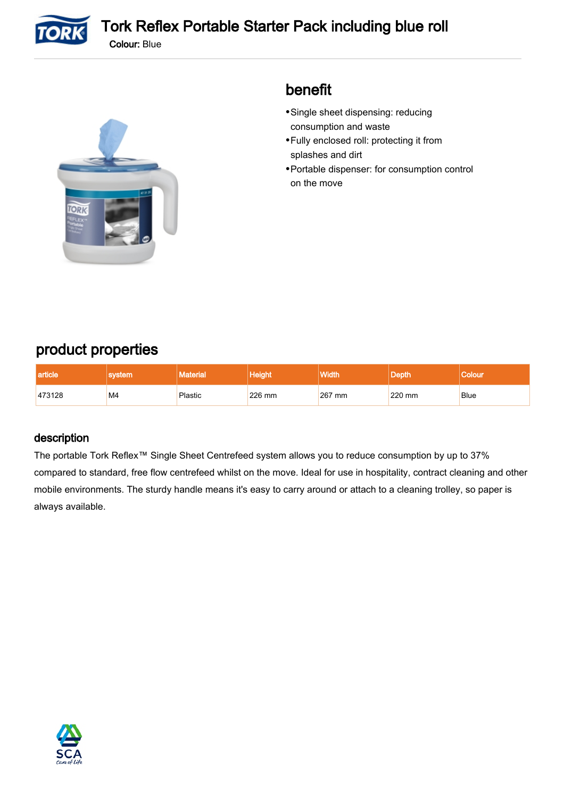

TORK

## benefit

- Single sheet dispensing: reducing consumption and waste
- Fully enclosed roll: protecting it from splashes and dirt
- Portable dispenser: for consumption control on the move

## product properties

| article |    |         |        | <b>Width</b> |        |             |
|---------|----|---------|--------|--------------|--------|-------------|
| 473128  | M4 | Plastic | 226 mm | 267 mm       | 220 mm | <b>Blue</b> |

### description

The portable Tork Reflex™ Single Sheet Centrefeed system allows you to reduce consumption by up to 37% compared to standard, free flow centrefeed whilst on the move. Ideal for use in hospitality, contract cleaning and other mobile environments. The sturdy handle means it's easy to carry around or attach to a cleaning trolley, so paper is always available.